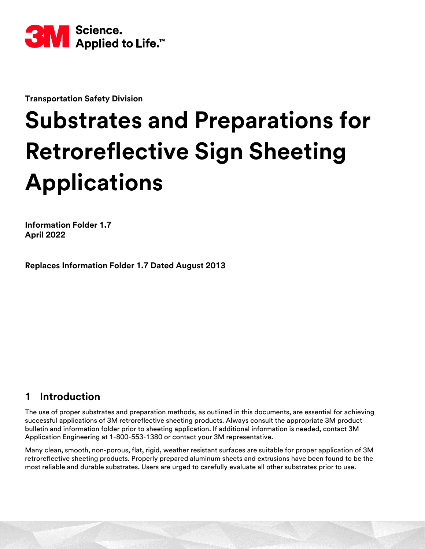

**Transportation Safety Division**

# **Substrates and Preparations for Retroreflective Sign Sheeting Applications**

**Information Folder 1.7 April 2022**

**Replaces Information Folder 1.7 Dated August 2013**

## **1 Introduction**

The use of proper substrates and preparation methods, as outlined in this documents, are essential for achieving successful applications of 3M retroreflective sheeting products. Always consult the appropriate 3M product bulletin and information folder prior to sheeting application. If additional information is needed, contact 3M Application Engineering at 1-800-553-1380 or contact your 3M representative.

Many clean, smooth, non-porous, flat, rigid, weather resistant surfaces are suitable for proper application of 3M retroreflective sheeting products. Properly prepared aluminum sheets and extrusions have been found to be the most reliable and durable substrates. Users are urged to carefully evaluate all other substrates prior to use.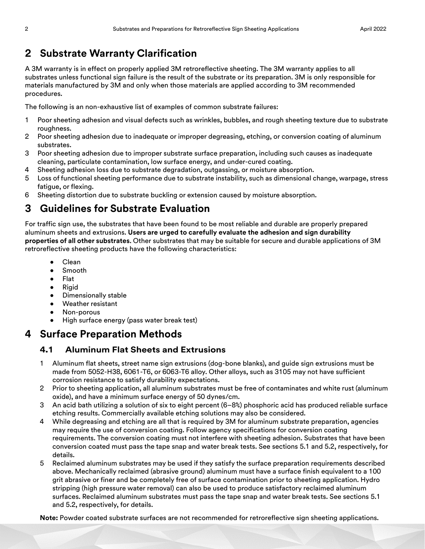## **2 Substrate Warranty Clarification**

A 3M warranty is in effect on properly applied 3M retroreflective sheeting. The 3M warranty applies to all substrates unless functional sign failure is the result of the substrate or its preparation. 3M is only responsible for materials manufactured by 3M and only when those materials are applied according to 3M recommended procedures.

The following is an non-exhaustive list of examples of common substrate failures:

- 1 Poor sheeting adhesion and visual defects such as wrinkles, bubbles, and rough sheeting texture due to substrate roughness.
- 2 Poor sheeting adhesion due to inadequate or improper degreasing, etching, or conversion coating of aluminum substrates.
- 3 Poor sheeting adhesion due to improper substrate surface preparation, including such causes as inadequate cleaning, particulate contamination, low surface energy, and under-cured coating.
- 4 Sheeting adhesion loss due to substrate degradation, outgassing, or moisture absorption.
- 5 Loss of functional sheeting performance due to substrate instability, such as dimensional change, warpage, stress fatigue, or flexing.
- 6 Sheeting distortion due to substrate buckling or extension caused by moisture absorption.

# **3 Guidelines for Substrate Evaluation**

For traffic sign use, the substrates that have been found to be most reliable and durable are properly prepared aluminum sheets and extrusions. **Users are urged to carefully evaluate the adhesion and sign durability properties of all other substrates.** Other substrates that may be suitable for secure and durable applications of 3M retroreflective sheeting products have the following characteristics:

- Clean
- Smooth
- Flat
- Rigid
- Dimensionally stable
- Weather resistant
- Non-porous
- High surface energy (pass water break test)

## **4 Surface Preparation Methods**

## **4.1 Aluminum Flat Sheets and Extrusions**

- 1 Aluminum flat sheets, street name sign extrusions (dog-bone blanks), and guide sign extrusions must be made from 5052-H38, 6061-T6, or 6063-T6 alloy. Other alloys, such as 3105 may not have sufficient corrosion resistance to satisfy durability expectations.
- 2 Prior to sheeting application, all aluminum substrates must be free of contaminates and white rust (aluminum oxide), and have a minimum surface energy of 50 dynes/cm.
- 3 An acid bath utilizing a solution of six to eight percent (6–8%) phosphoric acid has produced reliable surface etching results. Commercially available etching solutions may also be considered.
- 4 While degreasing and etching are all that is required by 3M for aluminum substrate preparation, agencies may require the use of conversion coating. Follow agency specifications for conversion coating requirements. The conversion coating must not interfere with sheeting adhesion. Substrates that have been conversion coated must pass the tape snap and water break tests. See sections [5.1](#page-3-0) and [5.2,](#page-4-0) respectively, for details.
- 5 Reclaimed aluminum substrates may be used if they satisfy the surface preparation requirements described above. Mechanically reclaimed (abrasive ground) aluminum must have a surface finish equivalent to a 100 grit abrasive or finer and be completely free of surface contamination prior to sheeting application. Hydro stripping (high pressure water removal) can also be used to produce satisfactory reclaimed aluminum surfaces. Reclaimed aluminum substrates must pass the tape snap and water break tests. See sections [5.1](#page-3-0) and [5.2,](#page-4-0) respectively, for details.

**Note:** Powder coated substrate surfaces are not recommended for retroreflective sign sheeting applications.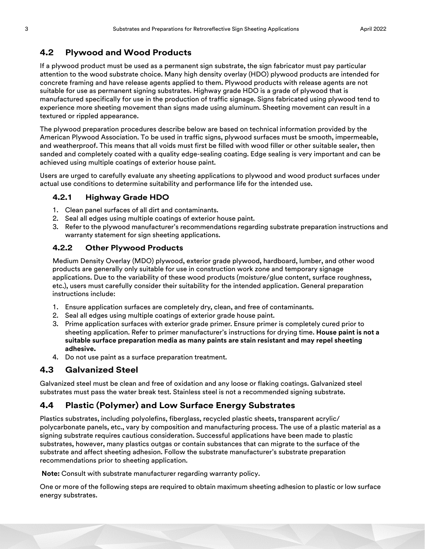## **4.2 Plywood and Wood Products**

If a plywood product must be used as a permanent sign substrate, the sign fabricator must pay particular attention to the wood substrate choice. Many high density overlay (HDO) plywood products are intended for concrete framing and have release agents applied to them. Plywood products with release agents are not suitable for use as permanent signing substrates. Highway grade HDO is a grade of plywood that is manufactured specifically for use in the production of traffic signage. Signs fabricated using plywood tend to experience more sheeting movement than signs made using aluminum. Sheeting movement can result in a textured or rippled appearance.

The plywood preparation procedures describe below are based on technical information provided by the American Plywood Association. To be used in traffic signs, plywood surfaces must be smooth, impermeable, and weatherproof. This means that all voids must first be filled with wood filler or other suitable sealer, then sanded and completely coated with a quality edge-sealing coating. Edge sealing is very important and can be achieved using multiple coatings of exterior house paint.

Users are urged to carefully evaluate any sheeting applications to plywood and wood product surfaces under actual use conditions to determine suitability and performance life for the intended use.

## **4.2.1 Highway Grade HDO**

- 1. Clean panel surfaces of all dirt and contaminants.
- 2. Seal all edges using multiple coatings of exterior house paint.
- 3. Refer to the plywood manufacturer's recommendations regarding substrate preparation instructions and warranty statement for sign sheeting applications.

#### **4.2.2 Other Plywood Products**

Medium Density Overlay (MDO) plywood, exterior grade plywood, hardboard, lumber, and other wood products are generally only suitable for use in construction work zone and temporary signage applications. Due to the variability of these wood products (moisture/glue content, surface roughness, etc.), users must carefully consider their suitability for the intended application. General preparation instructions include:

- 1. Ensure application surfaces are completely dry, clean, and free of contaminants.
- 2. Seal all edges using multiple coatings of exterior grade house paint.
- 3. Prime application surfaces with exterior grade primer. Ensure primer is completely cured prior to sheeting application. Refer to primer manufacturer's instructions for drying time. **House paint is not a suitable surface preparation media as many paints are stain resistant and may repel sheeting adhesive.**
- 4. Do not use paint as a surface preparation treatment.

## **4.3 Galvanized Steel**

Galvanized steel must be clean and free of oxidation and any loose or flaking coatings. Galvanized steel substrates must pass the water break test. Stainless steel is not a recommended signing substrate.

## **4.4 Plastic (Polymer) and Low Surface Energy Substrates**

Plastics substrates, including polyolefins, fiberglass, recycled plastic sheets, transparent acrylic/ polycarbonate panels, etc., vary by composition and manufacturing process. The use of a plastic material as a signing substrate requires cautious consideration. Successful applications have been made to plastic substrates, however, many plastics outgas or contain substances that can migrate to the surface of the substrate and affect sheeting adhesion. Follow the substrate manufacturer's substrate preparation recommendations prior to sheeting application.

**Note:** Consult with substrate manufacturer regarding warranty policy.

One or more of the following steps are required to obtain maximum sheeting adhesion to plastic or low surface energy substrates.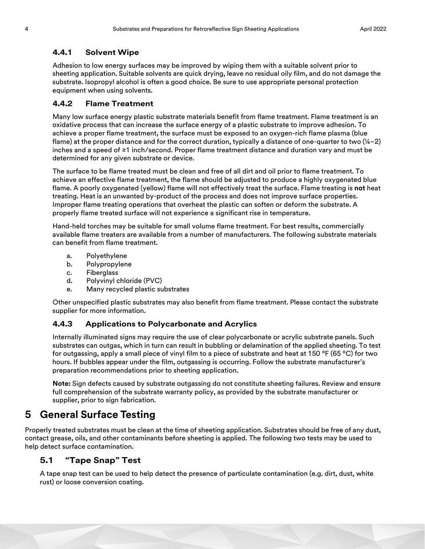#### **4.4.1 Solvent Wipe**

Adhesion to low energy surfaces may be improved by wiping them with a suitable solvent prior to sheeting application. Suitable solvents are quick drying, leave no residual oily film, and do not damage the substrate. Isopropyl alcohol is often a good choice. Be sure to use appropriate personal protection equipment when using solvents.

#### **4.4.2 Flame Treatment**

Many low surface energy plastic substrate materials benefit from flame treatment. Flame treatment is an oxidative process that can increase the surface energy of a plastic substrate to improve adhesion. To achieve a proper flame treatment, the surface must be exposed to an oxygen-rich flame plasma (blue flame) at the proper distance and for the correct duration, typically a distance of one-quarter to two  $(\frac{1}{4}-2)$ inches and a speed of ≥1 inch/second. Proper flame treatment distance and duration vary and must be determined for any given substrate or device.

The surface to be flame treated must be clean and free of all dirt and oil prior to flame treatment. To achieve an effective flame treatment, the flame should be adjusted to produce a highly oxygenated blue flame. A poorly oxygenated (yellow) flame will not effectively treat the surface. Flame treating is **not** heat treating. Heat is an unwanted by-product of the process and does not improve surface properties. Improper flame treating operations that overheat the plastic can soften or deform the substrate. A properly flame treated surface will not experience a significant rise in temperature.

Hand-held torches may be suitable for small volume flame treatment. For best results, commercially available flame treaters are available from a number of manufacturers. The following substrate materials can benefit from flame treatment.

- a. Polyethylene
- b. Polypropylene
- c. Fiberglass
- d. Polyvinyl chloride (PVC)
- e. Many recycled plastic substrates

Other unspecified plastic substrates may also benefit from flame treatment. Please contact the substrate supplier for more information.

## **4.4.3 Applications to Polycarbonate and Acrylics**

Internally illuminated signs may require the use of clear polycarbonate or acrylic substrate panels. Such substrates can outgas, which in turn can result in bubbling or delamination of the applied sheeting. To test for outgassing, apply a small piece of vinyl film to a piece of substrate and heat at 150 ºF (65 ºC) for two hours. If bubbles appear under the film, outgassing is occurring. Follow the substrate manufacturer's preparation recommendations prior to sheeting application.

**Note:** Sign defects caused by substrate outgassing do not constitute sheeting failures. Review and ensure full comprehension of the substrate warranty policy, as provided by the substrate manufacturer or supplier, prior to sign fabrication.

## **5 General Surface Testing**

Properly treated substrates must be clean at the time of sheeting application. Substrates should be free of any dust, contact grease, oils, and other contaminants before sheeting is applied. The following two tests may be used to help detect surface contamination.

## <span id="page-3-0"></span>**5.1 "Tape Snap" Test**

A tape snap test can be used to help detect the presence of particulate contamination (e.g. dirt, dust, white rust) or loose conversion coating.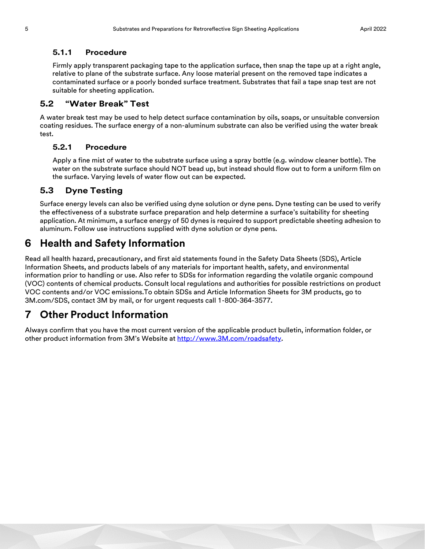#### **5.1.1 Procedure**

Firmly apply transparent packaging tape to the application surface, then snap the tape up at a right angle, relative to plane of the substrate surface. Any loose material present on the removed tape indicates a contaminated surface or a poorly bonded surface treatment. Substrates that fail a tape snap test are not suitable for sheeting application.

#### <span id="page-4-0"></span>**5.2 "Water Break" Test**

A water break test may be used to help detect surface contamination by oils, soaps, or unsuitable conversion coating residues. The surface energy of a non-aluminum substrate can also be verified using the water break test.

#### **5.2.1 Procedure**

Apply a fine mist of water to the substrate surface using a spray bottle (e.g. window cleaner bottle). The water on the substrate surface should NOT bead up, but instead should flow out to form a uniform film on the surface. Varying levels of water flow out can be expected.

## **5.3 Dyne Testing**

Surface energy levels can also be verified using dyne solution or dyne pens. Dyne testing can be used to verify the effectiveness of a substrate surface preparation and help determine a surface's suitability for sheeting application. At minimum, a surface energy of 50 dynes is required to support predictable sheeting adhesion to aluminum. Follow use instructions supplied with dyne solution or dyne pens.

## **6 Health and Safety Information**

Read all health hazard, precautionary, and first aid statements found in the Safety Data Sheets (SDS), Article Information Sheets, and products labels of any materials for important health, safety, and environmental information prior to handling or use. Also refer to SDSs for information regarding the volatile organic compound (VOC) contents of chemical products. Consult local regulations and authorities for possible restrictions on product VOC contents and/or VOC emissions.To obtain SDSs and Article Information Sheets for 3M products, go to 3M.com/SDS, contact 3M by mail, or for urgent requests call 1-800-364-3577.

## **7 Other Product Information**

Always confirm that you have the most current version of the applicable product bulletin, information folder, or other product information from 3M's Website at [http://www.3M.com/roadsafety](http://www.mmm.com/tss).